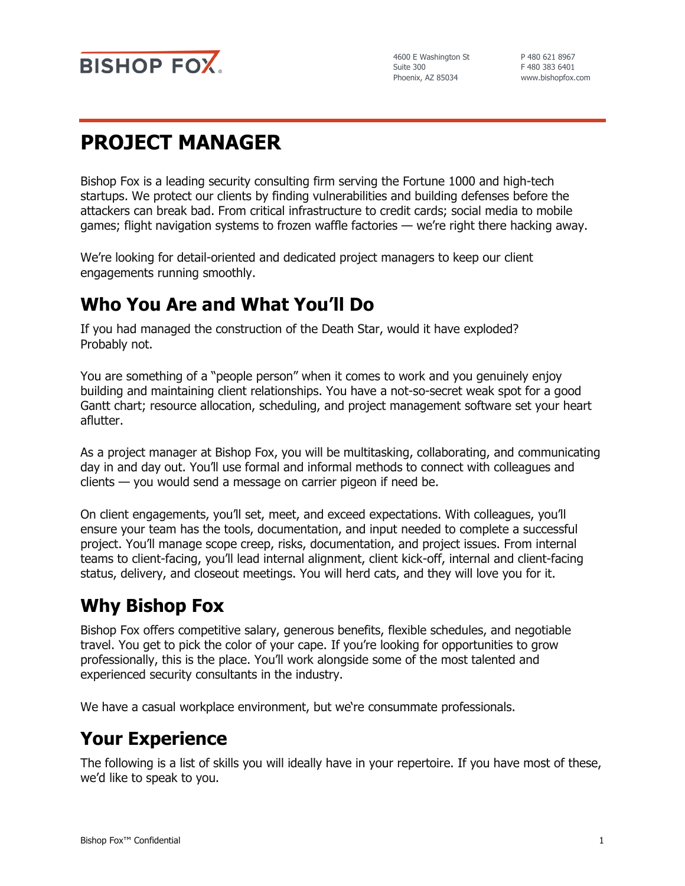

P 480 621 8967 F 480 383 6401 www.bishopfox.com

# **PROJECT MANAGER**

Bishop Fox is a leading security consulting firm serving the Fortune 1000 and high-tech startups. We protect our clients by finding vulnerabilities and building defenses before the attackers can break bad. From critical infrastructure to credit cards; social media to mobile games; flight navigation systems to frozen waffle factories — we're right there hacking away.

We're looking for detail-oriented and dedicated project managers to keep our client engagements running smoothly.

## **Who You Are and What You'll Do**

If you had managed the construction of the Death Star, would it have exploded? Probably not.

You are something of a "people person" when it comes to work and you genuinely enjoy building and maintaining client relationships. You have a not-so-secret weak spot for a good Gantt chart; resource allocation, scheduling, and project management software set your heart aflutter.

As a project manager at Bishop Fox, you will be multitasking, collaborating, and communicating day in and day out. You'll use formal and informal methods to connect with colleagues and clients — you would send a message on carrier pigeon if need be.

On client engagements, you'll set, meet, and exceed expectations. With colleagues, you'll ensure your team has the tools, documentation, and input needed to complete a successful project. You'll manage scope creep, risks, documentation, and project issues. From internal teams to client-facing, you'll lead internal alignment, client kick-off, internal and client-facing status, delivery, and closeout meetings. You will herd cats, and they will love you for it.

# **Why Bishop Fox**

Bishop Fox offers competitive salary, generous benefits, flexible schedules, and negotiable travel. You get to pick the color of your cape. If you're looking for opportunities to grow professionally, this is the place. You'll work alongside some of the most talented and experienced security consultants in the industry.

We have a casual workplace environment, but we're consummate professionals.

## **Your Experience**

The following is a list of skills you will ideally have in your repertoire. If you have most of these, we'd like to speak to you.